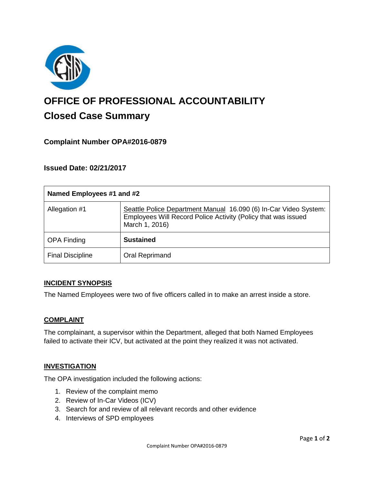

# **OFFICE OF PROFESSIONAL ACCOUNTABILITY Closed Case Summary**

## **Complaint Number OPA#2016-0879**

## **Issued Date: 02/21/2017**

| Named Employees #1 and #2 |                                                                                                                                                     |
|---------------------------|-----------------------------------------------------------------------------------------------------------------------------------------------------|
| Allegation #1             | Seattle Police Department Manual 16.090 (6) In-Car Video System:<br>Employees Will Record Police Activity (Policy that was issued<br>March 1, 2016) |
| <b>OPA Finding</b>        | <b>Sustained</b>                                                                                                                                    |
| <b>Final Discipline</b>   | Oral Reprimand                                                                                                                                      |

### **INCIDENT SYNOPSIS**

The Named Employees were two of five officers called in to make an arrest inside a store.

### **COMPLAINT**

The complainant, a supervisor within the Department, alleged that both Named Employees failed to activate their ICV, but activated at the point they realized it was not activated.

### **INVESTIGATION**

The OPA investigation included the following actions:

- 1. Review of the complaint memo
- 2. Review of In-Car Videos (ICV)
- 3. Search for and review of all relevant records and other evidence
- 4. Interviews of SPD employees